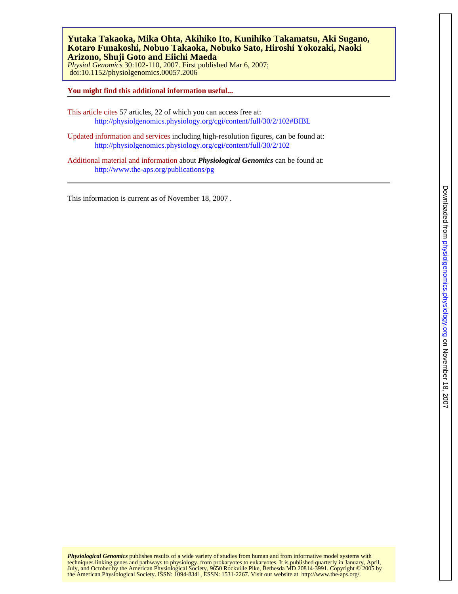**Arizono, Shuji Goto and Eiichi Maeda Kotaro Funakoshi, Nobuo Takaoka, Nobuko Sato, Hiroshi Yokozaki, Naoki Yutaka Takaoka, Mika Ohta, Akihiko Ito, Kunihiko Takamatsu, Aki Sugano,**

 doi:10.1152/physiolgenomics.00057.2006 *Physiol Genomics* 30:102-110, 2007. First published Mar 6, 2007;

## **You might find this additional information useful...**

- This article cites 57 articles, 22 of which you can access free at: <http://physiolgenomics.physiology.org/cgi/content/full/30/2/102#BIBL>
- Updated information and services including high-resolution figures, can be found at: <http://physiolgenomics.physiology.org/cgi/content/full/30/2/102>

Additional material and information about *Physiological Genomics* can be found at: <http://www.the-aps.org/publications/pg>

This information is current as of November 18, 2007 .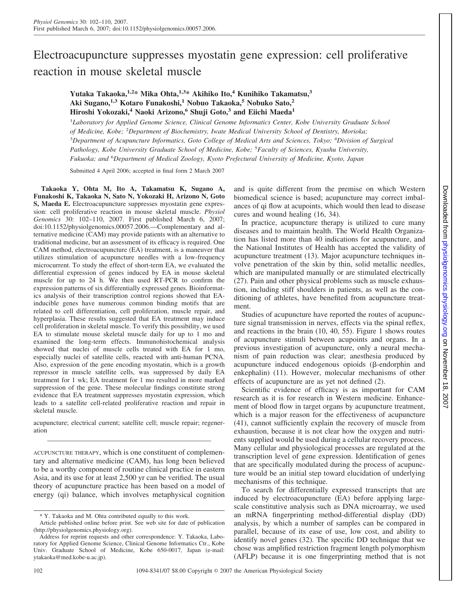# Electroacupuncture suppresses myostatin gene expression: cell proliferative reaction in mouse skeletal muscle

**Yutaka Takaoka,1,2\* Mika Ohta,1,3\* Akihiko Ito,4 Kunihiko Takamatsu,3 Aki Sugano,1,3 Kotaro Funakoshi,1 Nobuo Takaoka,5 Nobuko Sato,2 Hiroshi Yokozaki,4 Naoki Arizono,6 Shuji Goto,3 and Eiichi Maeda1**

<sup>1</sup>Laboratory for Applied Genome Science, Clinical Genome Informatics Center, Kobe University Graduate School *of Medicine, Kobe;* <sup>2</sup> *Department of Biochemistry, Iwate Medical University School of Dentistry, Morioka;* 3 *Department of Acupuncture Informatics, Goto College of Medical Arts and Sciences, Tokyo;* <sup>4</sup> *Division of Surgical Pathology, Kobe University Graduate School of Medicine, Kobe;* <sup>5</sup> *Faculty of Sciences, Kyushu University, Fukuoka; and* <sup>6</sup> *Department of Medical Zoology, Kyoto Prefectural University of Medicine, Kyoto, Japan*

Submitted 4 April 2006; accepted in final form 2 March 2007

**Takaoka Y, Ohta M, Ito A, Takamatsu K, Sugano A, Funakoshi K, Takaoka N, Sato N, Yokozaki H, Arizono N, Goto S, Maeda E.** Electroacupuncture suppresses myostatin gene expression: cell proliferative reaction in mouse skeletal muscle. *Physiol Genomics* 30: 102–110, 2007. First published March 6, 2007; doi:10.1152/physiolgenomics.00057.2006.—Complementary and alternative medicine (CAM) may provide patients with an alternative to traditional medicine, but an assessment of its efficacy is required. One CAM method, electroacupuncture (EA) treatment, is a maneuver that utilizes stimulation of acupuncture needles with a low-frequency microcurrent. To study the effect of short-term EA, we evaluated the differential expression of genes induced by EA in mouse skeletal muscle for up to 24 h. We then used RT-PCR to confirm the expression patterns of six differentially expressed genes. Bioinformatics analysis of their transcription control regions showed that EAinducible genes have numerous common binding motifs that are related to cell differentiation, cell proliferation, muscle repair, and hyperplasia. These results suggested that EA treatment may induce cell proliferation in skeletal muscle. To verify this possibility, we used EA to stimulate mouse skeletal muscle daily for up to 1 mo and examined the long-term effects. Immunohistochemical analysis showed that nuclei of muscle cells treated with EA for 1 mo, especially nuclei of satellite cells, reacted with anti-human PCNA. Also, expression of the gene encoding myostatin, which is a growth repressor in muscle satellite cells, was suppressed by daily EA treatment for 1 wk; EA treatment for 1 mo resulted in more marked suppression of the gene. These molecular findings constitute strong evidence that EA treatment suppresses myostatin expression, which leads to a satellite cell-related proliferative reaction and repair in skeletal muscle.

acupuncture; electrical current; satellite cell; muscle repair; regeneration

ACUPUNCTURE THERAPY, which is one constituent of complementary and alternative medicine (CAM), has long been believed to be a worthy component of routine clinical practice in eastern Asia, and its use for at least 2,500 yr can be verified. The usual theory of acupuncture practice has been based on a model of energy (qi) balance, which involves metaphysical cognition and is quite different from the premise on which Western biomedical science is based; acupuncture may correct imbalances of qi flow at acupoints, which would then lead to disease cures and wound healing (16, 34).

In practice, acupuncture therapy is utilized to cure many diseases and to maintain health. The World Health Organization has listed more than 40 indications for acupuncture, and the National Institutes of Health has accepted the validity of acupuncture treatment (13). Major acupuncture techniques involve penetration of the skin by thin, solid metallic needles, which are manipulated manually or are stimulated electrically (27). Pain and other physical problems such as muscle exhaustion, including stiff shoulders in patients, as well as the conditioning of athletes, have benefited from acupuncture treatment.

Studies of acupuncture have reported the routes of acupuncture signal transmission in nerves, effects via the spinal reflex, and reactions in the brain (10, 40, 55). Figure 1 shows routes of acupuncture stimuli between acupoints and organs. In a previous investigation of acupuncture, only a neural mechanism of pain reduction was clear; anesthesia produced by acupuncture induced endogenous opioids  $(\beta$ -endorphin and enkephalin) (11). However, molecular mechanisms of other effects of acupuncture are as yet not defined (2).

Scientific evidence of efficacy is as important for CAM research as it is for research in Western medicine. Enhancement of blood flow in target organs by acupuncture treatment, which is a major reason for the effectiveness of acupuncture (41), cannot sufficiently explain the recovery of muscle from exhaustion, because it is not clear how the oxygen and nutrients supplied would be used during a cellular recovery process. Many cellular and physiological processes are regulated at the transcription level of gene expression. Identification of genes that are specifically modulated during the process of acupuncture would be an initial step toward elucidation of underlying mechanisms of this technique.

To search for differentially expressed transcripts that are induced by electroacupuncture (EA) before applying largescale constitutive analysis such as DNA microarray, we used an mRNA fingerprinting method-differential display (DD) analysis, by which a number of samples can be compared in parallel, because of its ease of use, low cost, and ability to identify novel genes (32). The specific DD technique that we chose was amplified restriction fragment length polymorphism (AFLP) because it is one fingerprinting method that is not

<sup>\*</sup> Y. Takaoka and M. Ohta contributed equally to this work.

Article published online before print. See web site for date of publication (http://physiolgenomics.physiology.org).

Address for reprint requests and other correspondence: Y. Takaoka, Laboratory for Applied Genome Science, Clinical Genome Informatics Ctr., Kobe Univ. Graduate School of Medicine, Kobe 650-0017, Japan (e-mail: ytakaoka@med.kobe-u.ac.jp).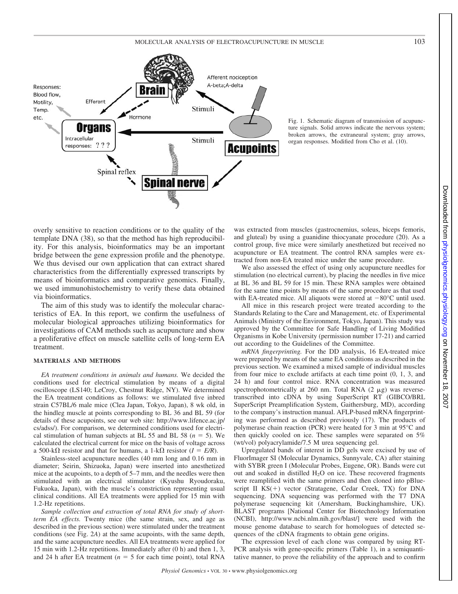

Fig. 1. Schematic diagram of transmission of acupuncture signals. Solid arrows indicate the nervous system; broken arrows, the extraneural system; gray arrows, organ responses. Modified from Cho et al. (10).

overly sensitive to reaction conditions or to the quality of the template DNA (38), so that the method has high reproducibility. For this analysis, bioinformatics may be an important bridge between the gene expression profile and the phenotype. We thus devised our own application that can extract shared characteristics from the differentially expressed transcripts by means of bioinformatics and comparative genomics. Finally, we used immunohistochemistry to verify these data obtained via bioinformatics.

The aim of this study was to identify the molecular characteristics of EA. In this report, we confirm the usefulness of molecular biological approaches utilizing bioinformatics for investigations of CAM methods such as acupuncture and show a proliferative effect on muscle satellite cells of long-term EA treatment.

## **MATERIALS AND METHODS**

*EA treatment conditions in animals and humans.* We decided the conditions used for electrical stimulation by means of a digital oscilloscope (LS140; LeCroy, Chestnut Ridge, NY). We determined the EA treatment conditions as follows: we stimulated five inbred strain C57BL/6 male mice (Clea Japan, Tokyo, Japan), 8 wk old, in the hindleg muscle at points corresponding to BL 36 and BL 59 (for details of these acupoints, see our web site: http://www.lifence.ac.jp/ cs/adss/). For comparison, we determined conditions used for electrical stimulation of human subjects at BL 55 and BL 58  $(n = 5)$ . We calculated the electrical current for mice on the basis of voltage across a 500-k $\Omega$  resistor and that for humans, a 1-k $\Omega$  resistor ( $I = E/R$ ).

Stainless-steel acupuncture needles (40 mm long and 0.16 mm in diameter; Seirin, Shizuoka, Japan) were inserted into anesthetized mice at the acupoints, to a depth of 5–7 mm, and the needles were then stimulated with an electrical stimulator (Kyushu Ryoudoraku, Fukuoka, Japan), with the muscle's constriction representing usual clinical conditions. All EA treatments were applied for 15 min with 1.2-Hz repetitions.

*Sample collection and extraction of total RNA for study of shortterm EA effects.* Twenty mice (the same strain, sex, and age as described in the previous section) were stimulated under the treatment conditions (see Fig. 2*A*) at the same acupoints, with the same depth, and the same acupuncture needles. All EA treatments were applied for 15 min with 1.2-Hz repetitions. Immediately after (0 h) and then 1, 3, and 24 h after EA treatment  $(n = 5$  for each time point), total RNA

was extracted from muscles (gastrocnemius, soleus, biceps femoris, and gluteal) by using a guanidine thiocyanate procedure (20). As a control group, five mice were similarly anesthetized but received no acupuncture or EA treatment. The control RNA samples were extracted from non-EA treated mice under the same procedure.

We also assessed the effect of using only acupuncture needles for stimulation (no electrical current), by placing the needles in five mice at BL 36 and BL 59 for 15 min. These RNA samples were obtained for the same time points by means of the same procedure as that used with EA-treated mice. All aliquots were stored at  $-80^{\circ}$ C until used.

All mice in this research project were treated according to the Standards Relating to the Care and Management, etc. of Experimental Animals (Ministry of the Environment, Tokyo, Japan). This study was approved by the Committee for Safe Handling of Living Modified Organisms in Kobe University (permission number 17-21) and carried out according to the Guidelines of the Committee.

*mRNA fingerprinting.* For the DD analysis, 16 EA-treated mice were prepared by means of the same EA conditions as described in the previous section. We examined a mixed sample of individual muscles from four mice to exclude artifacts at each time point (0, 1, 3, and 24 h) and four control mice. RNA concentration was measured spectrophotometrically at 260 nm. Total RNA  $(2 \mu g)$  was reversetranscribed into cDNA by using SuperScript RT (GIBCO/BRL SuperScript Preamplification System, Gaithersburg, MD), according to the company's instruction manual. AFLP-based mRNA fingerprinting was performed as described previously (17). The products of polymerase chain reaction (PCR) were heated for 3 min at 95°C and then quickly cooled on ice. These samples were separated on 5% (wt/vol) polyacrylamide/7.5 M urea sequencing gel.

Upregulated bands of interest in DD gels were excised by use of FluorImager SI (Molecular Dynamics, Sunnyvale, CA) after staining with SYBR green I (Molecular Probes, Eugene, OR). Bands were cut out and soaked in distilled  $H_2O$  on ice. These recovered fragments were reamplified with the same primers and then cloned into pBluescript II  $KS(+)$  vector (Stratagene, Cedar Creek, TX) for DNA sequencing. DNA sequencing was performed with the T7 DNA polymerase sequencing kit (Amersham, Buckinghamshire, UK). BLAST programs [National Center for Biotechnology Information (NCBI), http://www.ncbi.nlm.nih.gov/blast/] were used with the mouse genome database to search for homologues of detected sequences of the cDNA fragments to obtain gene origins.

The expression level of each clone was compared by using RT-PCR analysis with gene-specific primers (Table 1), in a semiquantitative manner, to prove the reliability of the approach and to confirm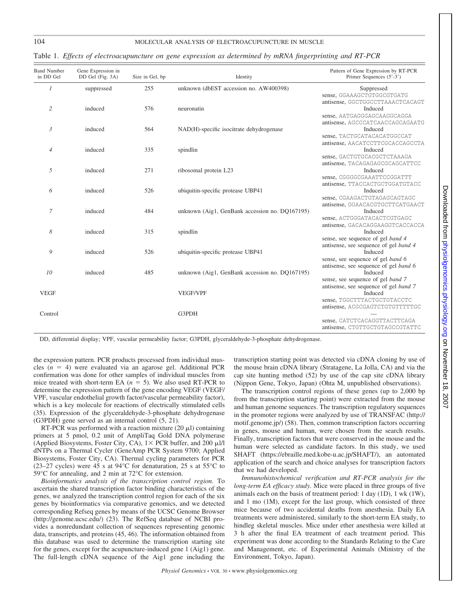## 104 MOLECULAR ANALYSIS OF ELECTROACUPUNCTURE IN MUSCLE

| <b>Band Number</b><br>in DD Gel | Gene Expression in<br>DD Gel (Fig. 3A) | Size in Gel, bp | Identity                                       | Pattern of Gene Expression by RT-PCR<br>Primer Sequences (5'-3') |
|---------------------------------|----------------------------------------|-----------------|------------------------------------------------|------------------------------------------------------------------|
| 1                               | suppressed                             | 255             | unknown (dbEST accession no. AW400398)         | Suppressed                                                       |
|                                 |                                        |                 |                                                | sense, GGAAAGCTGTGGCGTGATG                                       |
|                                 |                                        |                 |                                                | antisense, GGCTGGCCTTAAACTCACAGT                                 |
| $\overline{2}$                  | induced                                | 576             | neuronatin                                     | Induced                                                          |
|                                 |                                        |                 |                                                | sense, AATGAGGGAGCAAGGCAGGA                                      |
|                                 |                                        |                 |                                                | antisense, AGCCCATCAACCAGCAGAATG                                 |
| $\mathfrak{Z}$                  | induced                                | 564             | NAD(H)-specific isocitrate dehydrogenase       | Induced                                                          |
|                                 |                                        |                 |                                                | sense, TACTGCATACACATGGCCAT                                      |
|                                 |                                        |                 |                                                | antisense, AACATCCTTCGCACCAGCCTA                                 |
| $\overline{4}$                  | induced                                | 335             | spindlin                                       | Induced                                                          |
|                                 |                                        |                 |                                                | sense, GACTGTGCACGCTCTAAAGA                                      |
|                                 |                                        |                 |                                                | antisense, TACAGAGAGCGCAGCATTCC                                  |
| 5                               | induced                                | 271             | ribosomal protein L23                          | Induced                                                          |
|                                 |                                        |                 |                                                | sense, CGGGGCGAAATTCCGGATTT                                      |
|                                 |                                        |                 |                                                | antisense, TTACCACTGCTGGATGTACC                                  |
| 6                               | induced                                | 526             | ubiquitin-specific protease UBP41              | Induced                                                          |
|                                 |                                        |                 |                                                | sense, CGAAGACTGTAGAGCAGTAGC                                     |
|                                 |                                        |                 |                                                | antisense, GGAACACGTGCTTCATGAACT                                 |
| $\overline{7}$                  | induced                                | 484             | unknown (Aig1, GenBank accession no. DO167195) | Induced                                                          |
|                                 |                                        |                 |                                                | sense, ACTGGGATACACTCGTGAGC                                      |
|                                 |                                        |                 |                                                | antisense, GACACAGGAAGGTCACCACCA                                 |
| 8                               | induced                                | 315             | spindlin                                       | Induced                                                          |
|                                 |                                        |                 |                                                | sense, see sequence of gel band 4                                |
|                                 |                                        |                 |                                                | antisense, see sequence of gel band 4                            |
| 9                               | induced                                | 526             | ubiquitin-specific protease UBP41              | Induced                                                          |
|                                 |                                        |                 |                                                | sense, see sequence of gel band 6                                |
|                                 |                                        |                 |                                                | antisense, see sequence of gel band 6                            |
| 10                              | induced                                | 485             | unknown (Aig1, GenBank accession no. DQ167195) | Induced                                                          |
|                                 |                                        |                 |                                                | sense, see sequence of gel band 7                                |
|                                 |                                        |                 |                                                | antisense, see sequence of gel band 7                            |
| <b>VEGF</b>                     |                                        |                 | <b>VEGF/VPF</b>                                | Induced                                                          |
|                                 |                                        |                 |                                                | sense, TGGCTTTACTGCTGTACCTC                                      |
|                                 |                                        |                 |                                                | antisense, ACGCGAGTCTGTGTTTTTGC                                  |
| Control                         |                                        |                 | G3PDH                                          |                                                                  |
|                                 |                                        |                 |                                                | sense, CATCTCACAGGTTACTTCAGA                                     |
|                                 |                                        |                 |                                                | antisense, CTGTTGCTGTAGCCGTATTC                                  |

Table 1. *Effects of electroacupuncture on gene expression as determined by mRNA fingerprinting and RT-PCR*

DD, differential display; VPF, vascular permeability factor; G3PDH, glyceraldehyde-3-phosphate dehydrogenase.

the expression pattern. PCR products processed from individual muscles  $(n = 4)$  were evaluated via an agarose gel. Additional PCR confirmation was done for other samples of individual muscles from mice treated with short-term EA  $(n = 5)$ . We also used RT-PCR to determine the expression pattern of the gene encoding VEGF (VEGF/ VPF, vascular endothelial growth factor/vascular permeability factor), which is a key molecule for reactions of electrically stimulated cells (35). Expression of the glyceraldehyde-3-phosphate dehydrogenase (G3PDH) gene served as an internal control (5, 21).

RT-PCR was performed with a reaction mixture  $(20 \mu I)$  containing primers at 5 pmol, 0.2 unit of AmpliTaq Gold DNA polymerase (Applied Biosystems, Foster City, CA),  $1 \times PCR$  buffer, and 200 µl/l dNTPs on a Thermal Cycler (GeneAmp PCR System 9700; Applied Biosystems, Foster City, CA). Thermal cycling parameters for PCR (23–27 cycles) were 45 s at 94 $^{\circ}$ C for denaturation, 25 s at 55 $^{\circ}$ C to 59°C for annealing, and 2 min at 72°C for extension.

*Bioinformatics analysis of the transcription control region.* To ascertain the shared transcription factor binding characteristics of the genes, we analyzed the transcription control region for each of the six genes by bioinformatics via comparative genomics, and we detected corresponding Refseq genes by means of the UCSC Genome Browser (http://genome.ucsc.edu/) (23). The RefSeq database of NCBI provides a nonredundant collection of sequences representing genomic data, transcripts, and proteins (45, 46). The information obtained from this database was used to determine the transcription starting site for the genes, except for the acupuncture-induced gene 1 (Aig1) gene. The full-length cDNA sequence of the Aig1 gene including the transcription starting point was detected via cDNA cloning by use of the mouse brain cDNA library (Stratagene, La Jolla, CA) and via the cap site hunting method (52) by use of the cap site cDNA library (Nippon Gene, Tokyo, Japan) (Ohta M, unpublished observations).

The transcription control regions of these genes (up to 2,000 bp from the transcription starting point) were extracted from the mouse and human genome sequences. The transcription regulatory sequences in the promoter regions were analyzed by use of TRANSFAC (http:// motif.genome.jp/) (58). Then, common transcription factors occurring in genes, mouse and human, were chosen from the search results. Finally, transcription factors that were conserved in the mouse and the human were selected as candidate factors. In this study, we used SHAFT (https://ebraille.med.kobe-u.ac.jp/SHAFT/), an automated application of the search and choice analyses for transcription factors that we had developed.

*Immunohistochemical verification and RT-PCR analysis for the long-term EA efficacy study.* Mice were placed in three groups of five animals each on the basis of treatment period: 1 day (1D), 1 wk (1W), and 1 mo (1M), except for the last group, which consisted of three mice because of two accidental deaths from anesthesia. Daily EA treatments were administered, similarly to the short-term EA study, to hindleg skeletal muscles. Mice under ether anesthesia were killed at 3 h after the final EA treatment of each treatment period. This experiment was done according to the Standards Relating to the Care and Management, etc. of Experimental Animals (Ministry of the Environment, Tokyo, Japan).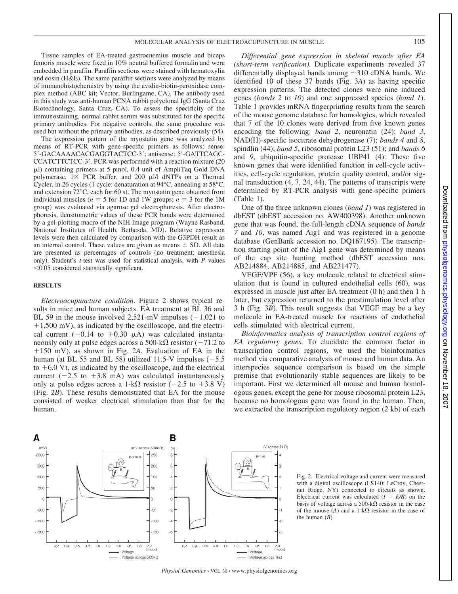Tissue samples of EA-treated gastrocnemius muscle and biceps femoris muscle were fixed in 10% neutral buffered formalin and were embedded in paraffin. Paraffin sections were stained with hematoxylin and eosin (H&E). The same paraffin sections were analyzed by means of immunohistochemistry by using the avidin-biotin-peroxidase complex method (ABC kit; Vector, Burlingame, CA). The antibody used in this study was anti-human PCNA rabbit polyclonal IgG (Santa Cruz Biotechnology, Santa Cruz, CA). To assess the specificity of the immunostaining, normal rabbit serum was substituted for the specific primary antibodies. For negative controls, the same procedure was used but without the primary antibodies, as described previously (54).

The expression pattern of the myostatin gene was analyzed by means of RT-PCR with gene-specific primers as follows: sense: 5-GACAAAACACGAGGTACTCC-3; antisense: 5-GATTCAGC-CCATCTTCTCC-3'. PCR was performed with a reaction mixture (20)  $\mu$ l) containing primers at 5 pmol, 0.4 unit of AmpliTaq Gold DNA polymerase,  $1 \times$  PCR buffer, and 200  $\mu$ I/l dNTPs on a Thermal Cycler, in 26 cycles (1 cycle: denaturation at 94°C, annealing at 58°C, and extension 72°C, each for 60 s). The myostatin gene obtained from individual muscles ( $n = 5$  for 1D and 1W groups;  $n = 3$  for the 1M group) was evaluated via agarose gel electrophoresis. After electrophoresis, densitometric values of these PCR bands were determined by a gel-plotting macro of the NIH Image program (Wayne Rasband, National Institutes of Health, Bethesda, MD). Relative expression levels were then calculated by comparison with the G3PDH result as an internal control. These values are given as means  $\pm$  SD. All data are presented as percentages of controls (no treatment; anesthesia only). Student's *t-*test was used for statistical analysis, with *P* values 0.05 considered statistically significant.

## **RESULTS**

*Electroacupuncture condition.* Figure 2 shows typical results in mice and human subjects. EA treatment at BL 36 and BL 59 in the mouse involved  $2,521$ -mV impulses  $(-1,021)$  to  $+1,500$  mV), as indicated by the oscilloscope, and the electrical current  $(-0.14 \text{ to } +0.30 \text{ }\mu\text{A})$  was calculated instantaneously only at pulse edges across a 500-k $\Omega$  resistor (-71.2 to 150 mV), as shown in Fig. 2*A*. Evaluation of EA in the human (at BL 55 and BL 58) utilized 11.5-V impulses  $(-5.5)$ to  $+6.0$  V), as indicated by the oscilloscope, and the electrical current  $(-2.5 \text{ to } +3.8 \text{ mA})$  was calculated instantaneously only at pulse edges across a 1-k $\Omega$  resistor (-2.5 to +3.8 V) (Fig. 2*B*). These results demonstrated that EA for the mouse consisted of weaker electrical stimulation than that for the human.

*Differential gene expression in skeletal muscle after EA (short-term verification).* Duplicate experiments revealed 37 differentially displayed bands among  $\sim$ 310 cDNA bands. We identified 10 of these 37 bands (Fig. 3*A*) as having specific expression patterns. The detected clones were nine induced genes (*bands 2* to *10*) and one suppressed species (*band 1*). Table 1 provides mRNA fingerprinting results from the search of the mouse genome database for homologies, which revealed that 7 of the 10 clones were derived from five known genes encoding the following: *band 2*, neuronatin (24); *band 3*, NAD(H)-specific isocitrate dehydrogenase (7); *bands 4* and *8*, spindlin (44); *band 5*, ribosomal protein L23 (51); and *bands 6* and *9*, ubiquitin-specific protease UBP41 (4). These five known genes that were identified function in cell-cycle activities, cell-cycle regulation, protein quality control, and/or signal transduction (4, 7, 24, 44). The patterns of transcripts were determined by RT-PCR analysis with gene-specific primers (Table 1).

One of the three unknown clones (*band 1*) was registered in dbEST (dbEST accession no. AW400398). Another unknown gene that was found, the full-length cDNA sequence of *bands 7* and *10*, was named Aig1 and was registered in a genome database (GenBank accession no. DQ167195). The transcription starting point of the Aig1 gene was determined by means of the cap site hunting method (dbEST accession nos. AB214884, AB214885, and AB231477).

VEGF/VPF (56), a key molecule related to electrical stimulation that is found in cultured endothelial cells (60), was expressed in muscle just after EA treatment (0 h) and then 1 h later, but expression returned to the prestimulation level after 3 h (Fig. 3*B*). This result suggests that VEGF may be a key molecule in EA-treated muscle for reactions of endothelial cells stimulated with electrical current.

*Bioinformatics analysis of transcription control regions of EA regulatory genes.* To elucidate the common factor in transcription control regions, we used the bioinformatics method via comparative analysis of mouse and human data. An interspecies sequence comparison is based on the simple premise that evolutionarily stable sequences are likely to be important. First we determined all mouse and human homologous genes, except the gene for mouse ribosomal protein L23, because no homologous gene was found in the human. Then, we extracted the transcription regulatory region (2 kb) of each



Fig. 2. Electrical voltage and current were measured with a digital oscilloscope (LS140; LeCroy, Chestnut Ridge, NY) connected to circuits as shown. Electrical current was calculated  $(I = E/R)$  on the basis of voltage across a 500-k $\Omega$  resistor in the case of the mouse (A) and a 1-k $\Omega$  resistor in the case of the human (*B*).

*Physiol Genomics* • VOL 30 • www.physiolgenomics.org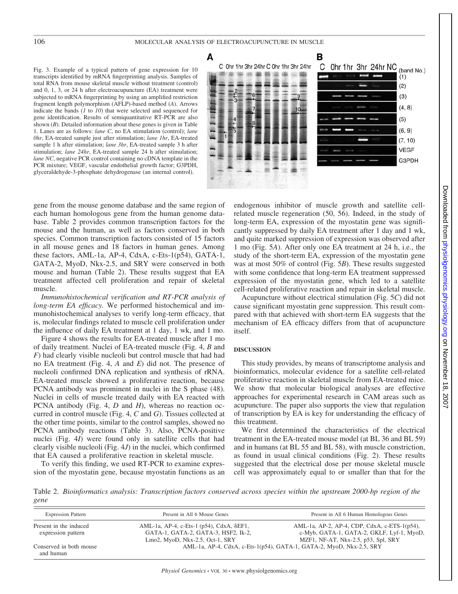## 106 MOLECULAR ANALYSIS OF ELECTROACUPUNCTURE IN MUSCLE

Fig. 3. Example of a typical pattern of gene expression for 10 transcripts identified by mRNA fingerprinting analysis. Samples of total RNA from mouse skeletal muscle without treatment (control) and 0, 1, 3, or 24 h after electroacupuncture (EA) treatment were subjected to mRNA fingerprinting by using an amplified restriction fragment length polymorphism (AFLP)-based method (*A*). Arrows indicate the bands (*1* to *10*) that were selected and sequenced for gene identification. Results of semiquantitative RT-PCR are also shown (*B*). Detailed information about these genes is given in Table 1. Lanes are as follows: *lane C*, no EA stimulation (control); *lane 0hr*, EA-treated sample just after stimulation; *lane 1hr*, EA-treated sample 1 h after stimulation; *lane 3hr*, EA-treated sample 3 h after stimulation; *lane 24hr*, EA-treated sample 24 h after stimulation; *lane NC*, negative PCR control containing no cDNA template in the PCR mixture; VEGF, vascular endothelial growth factor; G3PDH, glyceraldehyde-3-phosphate dehydrogenase (an internal control).



gene from the mouse genome database and the same region of each human homologous gene from the human genome database. Table 2 provides common transcription factors for the mouse and the human, as well as factors conserved in both species. Common transcription factors consisted of 15 factors in all mouse genes and 18 factors in human genes. Among these factors, AML-1a, AP-4, CdxA, c-Ets-1(p54), GATA-1, GATA-2, MyoD, Nkx-2.5, and SRY were conserved in both mouse and human (Table 2). These results suggest that EA treatment affected cell proliferation and repair of skeletal muscle.

*Immunohistochemical verification and RT-PCR analysis of long-term EA efficacy.* We performed histochemical and immunohistochemical analyses to verify long-term efficacy, that is, molecular findings related to muscle cell proliferation under the influence of daily EA treatment at 1 day, 1 wk, and 1 mo.

Figure 4 shows the results for EA-treated muscle after 1 mo of daily treatment. Nuclei of EA-treated muscle (Fig. 4, *B* and *F*) had clearly visible nucleoli but control muscle that had had no EA treatment (Fig. 4, *A* and *E*) did not. The presence of nucleoli confirmed DNA replication and synthesis of rRNA. EA-treated muscle showed a proliferative reaction, because PCNA antibody was prominent in nuclei in the S phase (48). Nuclei in cells of muscle treated daily with EA reacted with PCNA antibody (Fig. 4, *D* and *H*), whereas no reaction occurred in control muscle (Fig. 4, *C* and *G*). Tissues collected at the other time points, similar to the control samples, showed no PCNA antibody reactions (Table 3). Also, PCNA-positive nuclei (Fig. 4*I*) were found only in satellite cells that had clearly visible nucleoli (Fig. 4*J*) in the nuclei, which confirmed that EA caused a proliferative reaction in skeletal muscle.

To verify this finding, we used RT-PCR to examine expression of the myostatin gene, because myostatin functions as an endogenous inhibitor of muscle growth and satellite cellrelated muscle regeneration (50, 56). Indeed, in the study of long-term EA, expression of the myostatin gene was significantly suppressed by daily EA treatment after 1 day and 1 wk, and quite marked suppression of expression was observed after 1 mo (Fig. 5*A*). After only one EA treatment at 24 h, i.e., the study of the short-term EA, expression of the myostatin gene was at most 50% of control (Fig. 5*B*). These results suggested with some confidence that long-term EA treatment suppressed expression of the myostatin gene, which led to a satellite cell-related proliferative reaction and repair in skeletal muscle.

Acupuncture without electrical stimulation (Fig. 5*C*) did not cause significant myostatin gene suppression. This result compared with that achieved with short-term EA suggests that the mechanism of EA efficacy differs from that of acupuncture itself.

#### **DISCUSSION**

This study provides, by means of transcriptome analysis and bioinformatics, molecular evidence for a satellite cell-related proliferative reaction in skeletal muscle from EA-treated mice. We show that molecular biological analyses are effective approaches for experimental research in CAM areas such as acupuncture. The paper also supports the view that regulation of transcription by EA is key for understanding the efficacy of this treatment.

We first determined the characteristics of the electrical treatment in the EA-treated mouse model (at BL 36 and BL 59) and in humans (at BL 55 and BL 58), with muscle constriction, as found in usual clinical conditions (Fig. 2). These results suggested that the electrical dose per mouse skeletal muscle cell was approximately equal to or smaller than that for the

Table 2. *Bioinformatics analysis: Transcription factors conserved across species within the upstream 2000-bp region of the gene*

| <b>Expression Pattern</b>                    | Present in All 6 Mouse Genes                                                                                         | Present in All 6 Human Homologous Genes                                                                                          |
|----------------------------------------------|----------------------------------------------------------------------------------------------------------------------|----------------------------------------------------------------------------------------------------------------------------------|
| Present in the induced<br>expression pattern | AML-1a, AP-4, c-Ets-1 (p54), CdxA, δEF1,<br>GATA-1, GATA-2, GATA-3, HSF2, Ik-2,<br>Lmo2, MyoD, Nkx-2.5, Oct-1, $SRY$ | AML-1a, AP-2, AP-4, CDP, CdxA, c-ETS-1(p54),<br>c-Myb, GATA-1, GATA-2, GKLF, Lyf-1, MyoD,<br>MZF1, NF-AT, Nkx-2.5, p53, Spl, SRY |
| Conserved in both mouse<br>and human         |                                                                                                                      | AML-1a, AP-4, CdxA, c-Ets-1(p54), GATA-1, GATA-2, MyoD, Nkx-2.5, SRY                                                             |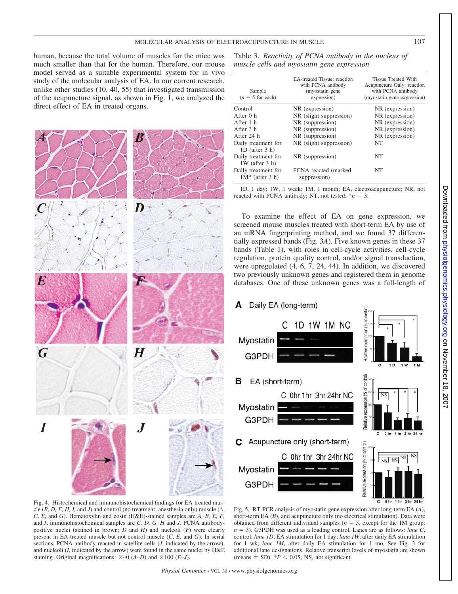human, because the total volume of muscles for the mice was much smaller than that for the human. Therefore, our mouse model served as a suitable experimental system for in vivo study of the molecular analysis of EA. In our current research, unlike other studies (10, 40, 55) that investigated transmission of the acupuncture signal, as shown in Fig. 1, we analyzed the direct effect of EA in treated organs.



Table 3. *Reactivity of PCNA antibody in the nucleus of muscle cells and myostatin gene expression*

| Sample<br>$(n = 5$ for each)              | <b>EA-treated Tissue: reaction</b><br>with PCNA antibody<br>(myostatin gene<br>expression) | <b>Tissue Treated With</b><br>Acupuncture Only: reaction<br>with PCNA antibody<br>(myostatin gene expression) |
|-------------------------------------------|--------------------------------------------------------------------------------------------|---------------------------------------------------------------------------------------------------------------|
| Control                                   | NR (expression)                                                                            | NR (expression)                                                                                               |
| After 0 h                                 | NR (slight suppression)                                                                    | NR (expression)                                                                                               |
| After 1 h                                 | NR (suppression)                                                                           | NR (expression)                                                                                               |
| After 3 h                                 | NR (suppression)                                                                           | NR (expression)                                                                                               |
| After 24 h                                | NR (suppression)                                                                           | NR (expression)                                                                                               |
| Daily treatment for<br>$1D$ (after $3h$ ) | NR (slight suppression)                                                                    | NT                                                                                                            |
| Daily treatment for<br>$1W$ (after $3h$ ) | NR (suppression)                                                                           | NT                                                                                                            |
| Daily treatment for<br>$1M^*$ (after 3 h) | PCNA reacted (marked<br>suppression)                                                       | NT                                                                                                            |

1D, 1 day; 1W, 1 week; 1M, 1 month; EA, electroacupuncture; NR, not reacted with PCNA antibody; NT, not tested;  $*n = 3$ .

To examine the effect of EA on gene expression, we screened mouse muscles treated with short-term EA by use of an mRNA fingerprinting method, and we found 37 differentially expressed bands (Fig. 3*A*). Five known genes in these 37 bands (Table 1), with roles in cell-cycle activities, cell-cycle regulation, protein quality control, and/or signal transduction, were upregulated (4, 6, 7, 24, 44). In addition, we discovered two previously unknown genes and registered them in genome databases. One of these unknown genes was a full-length of



Fig. 4. Histochemical and immunohistochemical findings for EA-treated muscle (*B, D, F, H, I,* and *J*) and control (no treatment; anesthesia only) muscle (*A*, *C*, *E*, and *G*). Hematoxylin and eosin (H&E)-stained samples are *A, B, E, F,* and *I*; immunohistochemical samples are *C, D, G, H* and *J*. PCNA antibodypositive nuclei (stained in brown; *D* and *H*) and nucleoli (*F*) were clearly present in EA-treated muscle but not control muscle (*C*, *E*, and *G*). In serial sections, PCNA antibody reacted in satellite cells (*J*, indicated by the arrow), and nucleoli (*I*, indicated by the arrow) were found in the same nuclei by H&E staining. Original magnifications:  $\times$  40 (*A–D*) and  $\times$  100 (*E–J*).

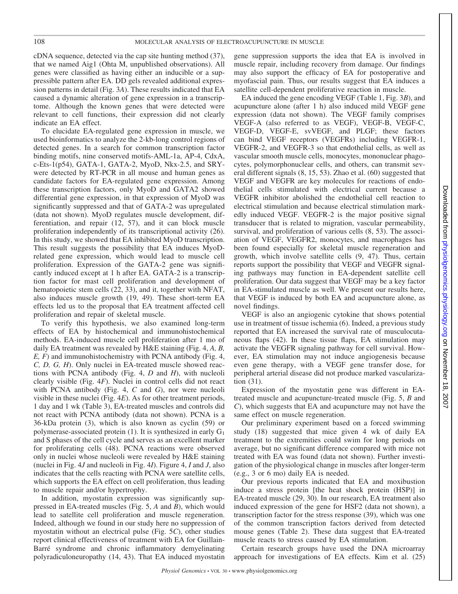cDNA sequence, detected via the cap site hunting method (37), that we named Aig1 (Ohta M, unpublished observations). All genes were classified as having either an inducible or a suppressible pattern after EA. DD gels revealed additional expression patterns in detail (Fig. 3*A*). These results indicated that EA caused a dynamic alteration of gene expression in a transcriptome. Although the known genes that were detected were relevant to cell functions, their expression did not clearly indicate an EA effect.

To elucidate EA-regulated gene expression in muscle, we used bioinformatics to analyze the 2-kb-long control regions of detected genes. In a search for common transcription factor binding motifs, nine conserved motifs-AML-1a, AP-4, CdxA,  $c$ -Ets-1(p54), GATA-1, GATA-2, MyoD, Nkx-2.5, and SRYwere detected by RT-PCR in all mouse and human genes as candidate factors for EA-regulated gene expression. Among these transcription factors, only MyoD and GATA2 showed differential gene expression, in that expression of MyoD was significantly suppressed and that of GATA-2 was upregulated (data not shown). MyoD regulates muscle development, differentiation, and repair (12, 57), and it can block muscle proliferation independently of its transcriptional activity (26). In this study, we showed that EA inhibited MyoD transcription. This result suggests the possibility that EA induces MyoDrelated gene expression, which would lead to muscle cell proliferation. Expression of the GATA-2 gene was significantly induced except at 1 h after EA. GATA-2 is a transcription factor for mast cell proliferation and development of hematopoietic stem cells (22, 33), and it, together with NFAT, also induces muscle growth (19, 49). These short-term EA effects led us to the proposal that EA treatment affected cell proliferation and repair of skeletal muscle.

To verify this hypothesis, we also examined long-term effects of EA by histochemical and immunohistochemical methods. EA-induced muscle cell proliferation after 1 mo of daily EA treatment was revealed by H&E staining (Fig. 4, *A, B, E, F*) and immunohistochemistry with PCNA antibody (Fig. 4, *C, D, G, H*). Only nuclei in EA-treated muscle showed reactions with PCNA antibody (Fig. 4, *D* and *H*), with nucleoli clearly visible (Fig. 4*F*). Nuclei in control cells did not react with PCNA antibody (Fig. 4, *C* and *G*), nor were nucleoli visible in these nuclei (Fig. 4*E*). As for other treatment periods, 1 day and 1 wk (Table 3), EA-treated muscles and controls did not react with PCNA antibody (data not shown). PCNA is a 36-kDa protein (3), which is also known as cyclin (59) or polymerase-associated protein (1). It is synthesized in early  $G_1$ and S phases of the cell cycle and serves as an excellent marker for proliferating cells (48). PCNA reactions were observed only in nuclei whose nucleoli were revealed by H&E staining (nuclei in Fig. 4*J* and nucleoli in Fig. 4*I*). Figure 4, *I* and *J*, also indicates that the cells reacting with PCNA were satellite cells, which supports the EA effect on cell proliferation, thus leading to muscle repair and/or hypertrophy.

In addition, myostatin expression was significantly suppressed in EA-treated muscles (Fig. 5, *A* and *B*), which would lead to satellite cell proliferation and muscle regeneration. Indeed, although we found in our study here no suppression of myostatin without an electrical pulse (Fig. 5*C*), other studies report clinical effectiveness of treatment with EA for Guillain-Barré syndrome and chronic inflammatory demyelinating polyradiculoneuropathy (14, 43). That EA induced myostatin gene suppression supports the idea that EA is involved in muscle repair, including recovery from damage. Our findings may also support the efficacy of EA for postoperative and myofascial pain. Thus, our results suggest that EA induces a satellite cell-dependent proliferative reaction in muscle.

EA induced the gene encoding VEGF (Table 1, Fig. 3*B*), and acupuncture alone (after 1 h) also induced mild VEGF gene expression (data not shown). The VEGF family comprises VEGF-A (also referred to as VEGF), VEGF-B, VEGF-C, VEGF-D, VEGF-E, svVEGF, and PLGF; these factors can bind VEGF receptors (VEGFRs) including VEGFR-1, VEGFR-2, and VEGFR-3 so that endothelial cells, as well as vascular smooth muscle cells, monocytes, mononuclear phagocytes, polymorphonuclear cells, and others, can transmit several different signals (8, 15, 53). Zhao et al. (60) suggested that VEGF and VEGFR are key molecules for reactions of endothelial cells stimulated with electrical current because a VEGFR inhibitor abolished the endothelial cell reaction to electrical stimulation and because electrical stimulation markedly induced VEGF. VEGFR-2 is the major positive signal transducer that is related to migration, vascular permeability, survival, and proliferation of various cells (8, 53). The association of VEGF, VEGFR2, monocytes, and macrophages has been found especially for skeletal muscle regeneration and growth, which involve satellite cells (9, 47). Thus, certain reports support the possibility that VEGF and VEGFR signaling pathways may function in EA-dependent satellite cell proliferation. Our data suggest that VEGF may be a key factor in EA-stimulated muscle as well. We present our results here, that VEGF is induced by both EA and acupuncture alone, as novel findings.

VEGF is also an angiogenic cytokine that shows potential use in treatment of tissue ischemia (6). Indeed, a previous study reported that EA increased the survival rate of musculocutaneous flaps (42). In these tissue flaps, EA stimulation may activate the VEGFR signaling pathway for cell survival. However, EA stimulation may not induce angiogenesis because even gene therapy, with a VEGF gene transfer dose, for peripheral arterial disease did not produce marked vascularization (31).

Expression of the myostatin gene was different in EAtreated muscle and acupuncture-treated muscle (Fig. 5, *B* and *C*), which suggests that EA and acupuncture may not have the same effect on muscle regeneration.

Our preliminary experiment based on a forced swimming study (18) suggested that mice given 4 wk of daily EA treatment to the extremities could swim for long periods on average, but no significant difference compared with mice not treated with EA was found (data not shown). Further investigation of the physiological change in muscles after longer-term (e.g., 3 or 6 mo) daily EA is needed.

Our previous reports indicated that EA and moxibustion induce a stress protein [the heat shock protein (HSP)] in EA-treated muscle (29, 30). In our research, EA treatment also induced expression of the gene for HSF2 (data not shown), a transcription factor for the stress response (39), which was one of the common transcription factors derived from detected mouse genes (Table 2). These data suggest that EA-treated muscle reacts to stress caused by EA stimulation.

Certain research groups have used the DNA microarray approach for investigations of EA effects. Kim et al. (25)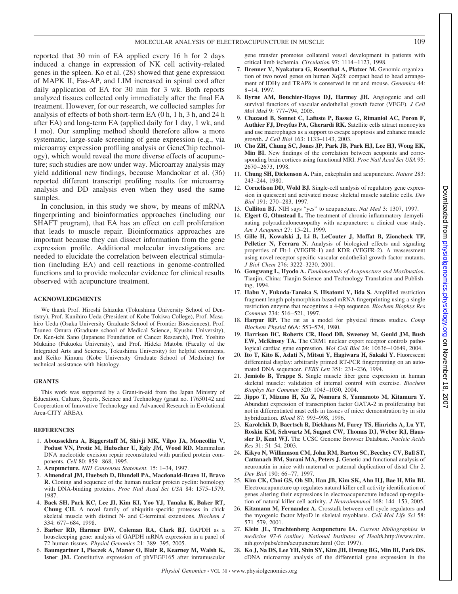reported that 30 min of EA applied every 16 h for 2 days induced a change in expression of NK cell activity-related genes in the spleen. Ko et al. (28) showed that gene expression of MAPK II, Fas-AP, and LIM increased in spinal cord after daily application of EA for 30 min for 3 wk. Both reports analyzed tissues collected only immediately after the final EA treatment. However, for our research, we collected samples for analysis of effects of both short-term EA (0 h, 1 h, 3 h, and 24 h after EA) and long-term EA (applied daily for 1 day, 1 wk, and 1 mo). Our sampling method should therefore allow a more systematic, large-scale screening of gene expression (e.g., via microarray expression profiling analysis or GeneChip technology), which would reveal the more diverse effects of acupuncture; such studies are now under way. Microarray analysis may yield additional new findings, because Mandaokar et al. (36) reported different transcript profiling results for microarray analysis and DD analysis even when they used the same samples.

In conclusion, in this study we show, by means of mRNA fingerprinting and bioinformatics approaches (including our SHAFT program), that EA has an effect on cell proliferation that leads to muscle repair. Bioinformatics approaches are important because they can dissect information from the gene expression profile. Additional molecular investigations are needed to elucidate the correlation between electrical stimulation (including EA) and cell reactions in genome-controlled functions and to provide molecular evidence for clinical results observed with acupuncture treatment.

#### **ACKNOWLEDGMENTS**

We thank Prof. Hiroshi Ishizuka (Tokushima University School of Dentistry), Prof. Kunihiro Ueda (President of Kobe Tokiwa College), Prof. Masahiro Ueda (Osaka University Graduate School of Frontier Biosciences), Prof. Tsuneo Omura (Graduate school of Medical Science, Kyushu University), Dr. Ken-ichi Sano (Japanese Foundation of Cancer Research), Prof. Yoshito Mukaino (Fukuoka University), and Prof. Hideki Matoba (Faculty of the Integrated Arts and Sciences, Tokushima University) for helpful comments, and Keiko Kimura (Kobe University Graduate School of Medicine) for technical assistance with histology.

#### **GRANTS**

This work was supported by a Grant-in-aid from the Japan Ministry of Education, Culture, Sports, Science and Technology (grant no. 17650142 and Cooperation of Innovative Technology and Advanced Research in Evolutional Area-CITY AREA).

### **REFERENCES**

- 1. **Aboussekhra A, Biggerstaff M, Shivji MK, Vilpo JA, Moncollin V, Podust VN, Protic M, Hubscher U, Egly JM, Wood RD.** Mammalian DNA nucleotide excision repair reconstituted with purified protein components. *Cell* 80: 859 – 868, 1995.
- 2. **Acupuncture.** *NIH Consensus Statement*. 15: 1–34, 1997.
- 3. **Almendral JM, Huebsch D, Blundell PA, Macdonald-Bravo H, Bravo R.** Cloning and sequence of the human nuclear protein cyclin: homology with DNA-binding proteins. *Proc Natl Acad Sci USA* 84: 1575–1579, 1987.
- 4. **Baek SH, Park KC, Lee JI, Kim KI, Yoo YJ, Tanaka K, Baker RT, Chung CH.** A novel family of ubiquitin-specific proteases in chick skeletal muscle with distinct N- and C-terminal extensions. *Biochem J* 334: 677– 684, 1998.
- 5. **Barber RD, Harmer DW, Coleman RA, Clark BJ.** GAPDH as a housekeeping gene: analysis of GAPDH mRNA expression in a panel of 72 human tissues. *Physiol Genomics* 21: 389 –395, 2005.
- 6. **Baumgartner I, Pieczek A, Manor O, Blair R, Kearney M, Walsh K, Isner JM.** Constitutive expression of phVEGF165 after intramuscular

gene transfer promotes collateral vessel development in patients with critical limb ischemia. *Circulation* 97: 1114 –1123, 1998.

- 7. **Brenner V, Nyakatura G, Rosenthal A, Platzer M.** Genomic organization of two novel genes on human Xq28: compact head to head arrangement of IDH<sub>Y</sub> and TRAP<sub>b</sub> is conserved in rat and mouse. *Genomics* 44: 8 –14, 1997.
- 8. **Byrne AM, Bouchier-Hayes DJ, Harmey JH.** Angiogenic and cell survival functions of vascular endothelial growth factor (VEGF). *J Cell Mol Med* 9: 777–794, 2005.
- 9. **Chazaud B, Sonnet C, Lafuste P, Bassez G, Rimaniol AC, Poron F, Authier FJ, Dreyfus PA, Gherardi RK.** Satellite cells attract monocytes and use macrophages as a support to escape apoptosis and enhance muscle growth. *J Cell Biol* 163: 1133–1143, 2003.
- 10. **Cho ZH, Chung SC, Jones JP, Park JB, Park HJ, Lee HJ, Wong EK, Min BI.** New findings of the correlation between acupoints and corresponding brain cortices using functional MRI. *Proc Natl Acad Sci USA* 95: 2670 –2673, 1998.
- 11. **Chung SH, Dickenson A.** Pain, enkephalin and acupuncture. *Nature* 283: 243–244, 1980.
- 12. **Cornelison DD, Wold BJ.** Single-cell analysis of regulatory gene expression in quiescent and activated mouse skeletal muscle satellite cells. *Dev Biol* 191: 270 –283, 1997.
- 13. **Culliton BJ.** NIH says "yes" to acupuncture. *Nat Med* 3: 1307, 1997.
- 14. **Elgert G, Olmstead L.** The treatment of chronic inflammatory demyelinating polyradiculoneuropathy with acupuncture: a clinical case study. *Am J Acupunct* 27: 15–21, 1999.
- 15. **Gille H, Kowalski J, Li B, LeCouter J, Moffat B, Zioncheck TF, Pelletier N, Ferrara N.** Analysis of biological effects and signaling properties of Flt-1 (VEGFR-1) and KDR (VEGFR-2). A reassessment using novel receptor-specific vascular endothelial growth factor mutants. *J Biol Chem* 276: 3222–3230, 2001.
- 16. **Gongwang L, Hyodo A.** *Fundamentals of Acupuncture and Moxibustion*. Tianjin, China: Tianjin Science and Technology Translation and Publishing, 1994.
- 17. **Habu Y, Fukuda-Tanaka S, Hisatomi Y, Iida S.** Amplified restriction fragment length polymorphism-based mRNA fingerprinting using a single restriction enzyme that recognizes a 4-bp sequence. *Biochem Biophys Res Commun* 234: 516 –521, 1997.
- 18. **Harpur RP.** The rat as a model for physical fitness studies. *Comp Biochem Physiol* 66A: 553–574, 1980.
- 19. **Harrison BC, Roberts CR, Hood DB, Sweeney M, Gould JM, Bush EW, McKinsey TA.** The CRM1 nuclear export receptor controls pathological cardiac gene expression. *Mol Cell Biol* 24: 10636 –10649, 2004.
- 20. **Ito T, Kito K, Adati N, Mitsui Y, Hagiwara H, Sakaki Y.** Fluorescent differential display: arbitrarily primed RT-PCR fingerprinting on an automated DNA sequencer. *FEBS Lett* 351: 231–236, 1994.
- 21. **Jemiolo B, Trappe S.** Single muscle fiber gene expression in human skeletal muscle: validation of internal control with exercise. *Biochem Biophys Res Commun* 320: 1043–1050, 2004.
- 22. **Jippo T, Mizuno H, Xu Z, Nomura S, Yamamoto M, Kitamura Y.** Abundant expression of transcription factor GATA-2 in proliferating but not in differentiated mast cells in tissues of mice: demonstration by in situ hybridization. *Blood* 87: 993–998, 1996.
- 23. **Karolchik D, Baertsch R, Diekhans M, Furey TS, Hinrichs A, Lu YT, Roskin KM, Schwartz M, Sugnet CW, Thomas DJ, Weber RJ, Haussler D, Kent WJ.** The UCSC Genome Browser Database. *Nucleic Acids Res* 31: 51–54, 2003.
- 24. **Kikyo N, Williamson CM, John RM, Barton SC, Beechey CV, Ball ST, Cattanach BM, Surani MA, Peters J.** Genetic and functional analysis of neuronatin in mice with maternal or paternal duplication of distal Chr 2. *Dev Biol* 190: 66 –77, 1997.
- 25. **Kim CK, Choi GS, Oh SD, Han JB, Kim SK, Ahn HJ, Bae H, Min BI.** Electroacupuncture up-regulates natural killer cell activity identification of genes altering their expressions in electroacupuncture induced up-regulation of natural killer cell activity. *J Neuroimmunol* 168: 144 –153, 2005.
- 26. **Kitzmann M, Fernandez A.** Crosstalk between cell cycle regulators and the myogenic factor MyoD in skeletal myoblasts. *Cell Mol Life Sci* 58: 571–579, 2001.
- 27. **Klein JL, Trachtenberg Acupuncture IA.** *Current bibliographies in medicine 97-6 (online). National Institutes of Health*.http://www.nlm. nih.gov/pubs/cbm/acupuncture.html (Oct 1997).
- 28. **Ko J, Na DS, Lee YH, Shin SY, Kim JH, Hwang BG, Min BI, Park DS.** cDNA microarray analysis of the differential gene expression in the